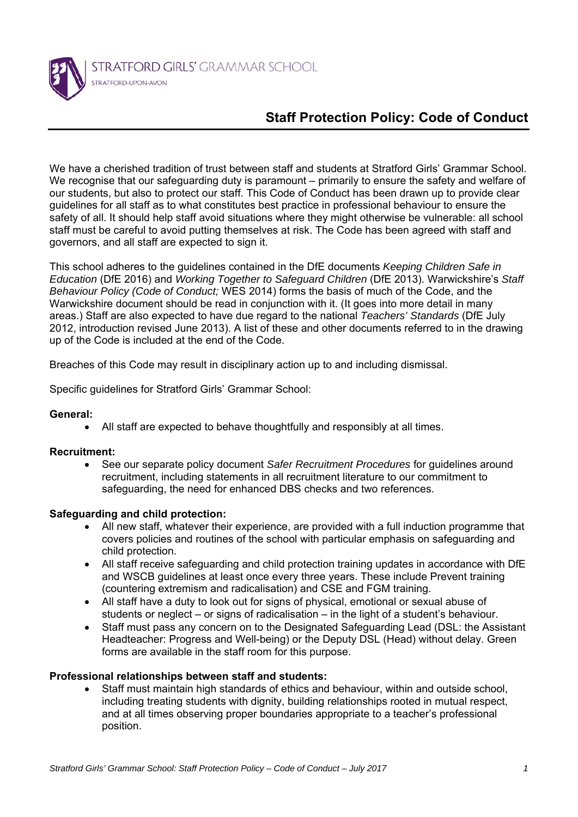

# **Staff Protection Policy: Code of Conduct**

We have a cherished tradition of trust between staff and students at Stratford Girls' Grammar School. We recognise that our safeguarding duty is paramount – primarily to ensure the safety and welfare of our students, but also to protect our staff. This Code of Conduct has been drawn up to provide clear guidelines for all staff as to what constitutes best practice in professional behaviour to ensure the safety of all. It should help staff avoid situations where they might otherwise be vulnerable: all school staff must be careful to avoid putting themselves at risk. The Code has been agreed with staff and governors, and all staff are expected to sign it.

This school adheres to the guidelines contained in the DfE documents *Keeping Children Safe in Education* (DfE 2016) and *Working Together to Safeguard Children* (DfE 2013). Warwickshire's *Staff Behaviour Policy (Code of Conduct;* WES 2014) forms the basis of much of the Code, and the Warwickshire document should be read in conjunction with it. (It goes into more detail in many areas.) Staff are also expected to have due regard to the national *Teachers' Standards* (DfE July 2012, introduction revised June 2013). A list of these and other documents referred to in the drawing up of the Code is included at the end of the Code.

Breaches of this Code may result in disciplinary action up to and including dismissal.

Specific guidelines for Stratford Girls' Grammar School:

#### **General:**

All staff are expected to behave thoughtfully and responsibly at all times.

# **Recruitment:**

 See our separate policy document *Safer Recruitment Procedures* for guidelines around recruitment, including statements in all recruitment literature to our commitment to safeguarding, the need for enhanced DBS checks and two references.

# **Safeguarding and child protection:**

- All new staff, whatever their experience, are provided with a full induction programme that covers policies and routines of the school with particular emphasis on safeguarding and child protection.
- All staff receive safeguarding and child protection training updates in accordance with DfE and WSCB guidelines at least once every three years. These include Prevent training (countering extremism and radicalisation) and CSE and FGM training.
- All staff have a duty to look out for signs of physical, emotional or sexual abuse of students or neglect – or signs of radicalisation – in the light of a student's behaviour.
- Staff must pass any concern on to the Designated Safeguarding Lead (DSL: the Assistant Headteacher: Progress and Well-being) or the Deputy DSL (Head) without delay. Green forms are available in the staff room for this purpose.

# **Professional relationships between staff and students:**

 Staff must maintain high standards of ethics and behaviour, within and outside school, including treating students with dignity, building relationships rooted in mutual respect, and at all times observing proper boundaries appropriate to a teacher's professional position.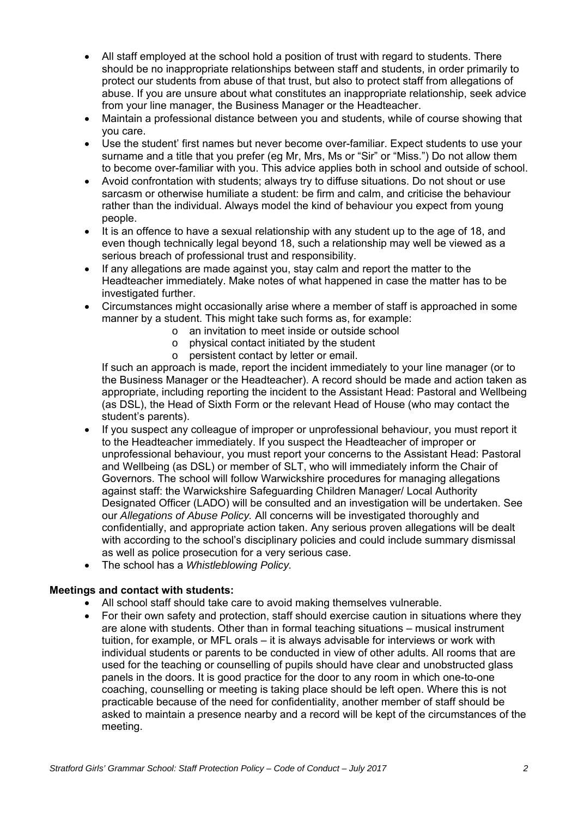- All staff employed at the school hold a position of trust with regard to students. There should be no inappropriate relationships between staff and students, in order primarily to protect our students from abuse of that trust, but also to protect staff from allegations of abuse. If you are unsure about what constitutes an inappropriate relationship, seek advice from your line manager, the Business Manager or the Headteacher.
- Maintain a professional distance between you and students, while of course showing that you care.
- Use the student' first names but never become over-familiar. Expect students to use your surname and a title that you prefer (eg Mr, Mrs, Ms or "Sir" or "Miss.") Do not allow them to become over-familiar with you. This advice applies both in school and outside of school.
- Avoid confrontation with students; always try to diffuse situations. Do not shout or use sarcasm or otherwise humiliate a student: be firm and calm, and criticise the behaviour rather than the individual. Always model the kind of behaviour you expect from young people.
- It is an offence to have a sexual relationship with any student up to the age of 18, and even though technically legal beyond 18, such a relationship may well be viewed as a serious breach of professional trust and responsibility.
- If any allegations are made against you, stay calm and report the matter to the Headteacher immediately. Make notes of what happened in case the matter has to be investigated further.
- Circumstances might occasionally arise where a member of staff is approached in some manner by a student. This might take such forms as, for example:
	- o an invitation to meet inside or outside school
	- o physical contact initiated by the student
	- o persistent contact by letter or email.

If such an approach is made, report the incident immediately to your line manager (or to the Business Manager or the Headteacher). A record should be made and action taken as appropriate, including reporting the incident to the Assistant Head: Pastoral and Wellbeing (as DSL), the Head of Sixth Form or the relevant Head of House (who may contact the student's parents).

- If you suspect any colleague of improper or unprofessional behaviour, you must report it to the Headteacher immediately. If you suspect the Headteacher of improper or unprofessional behaviour, you must report your concerns to the Assistant Head: Pastoral and Wellbeing (as DSL) or member of SLT, who will immediately inform the Chair of Governors. The school will follow Warwickshire procedures for managing allegations against staff: the Warwickshire Safeguarding Children Manager/ Local Authority Designated Officer (LADO) will be consulted and an investigation will be undertaken. See our *Allegations of Abuse Policy.* All concerns will be investigated thoroughly and confidentially, and appropriate action taken. Any serious proven allegations will be dealt with according to the school's disciplinary policies and could include summary dismissal as well as police prosecution for a very serious case.
- The school has a *Whistleblowing Policy.*

# **Meetings and contact with students:**

- All school staff should take care to avoid making themselves vulnerable.
- For their own safety and protection, staff should exercise caution in situations where they are alone with students. Other than in formal teaching situations – musical instrument tuition, for example, or MFL orals – it is always advisable for interviews or work with individual students or parents to be conducted in view of other adults. All rooms that are used for the teaching or counselling of pupils should have clear and unobstructed glass panels in the doors. It is good practice for the door to any room in which one-to-one coaching, counselling or meeting is taking place should be left open. Where this is not practicable because of the need for confidentiality, another member of staff should be asked to maintain a presence nearby and a record will be kept of the circumstances of the meeting.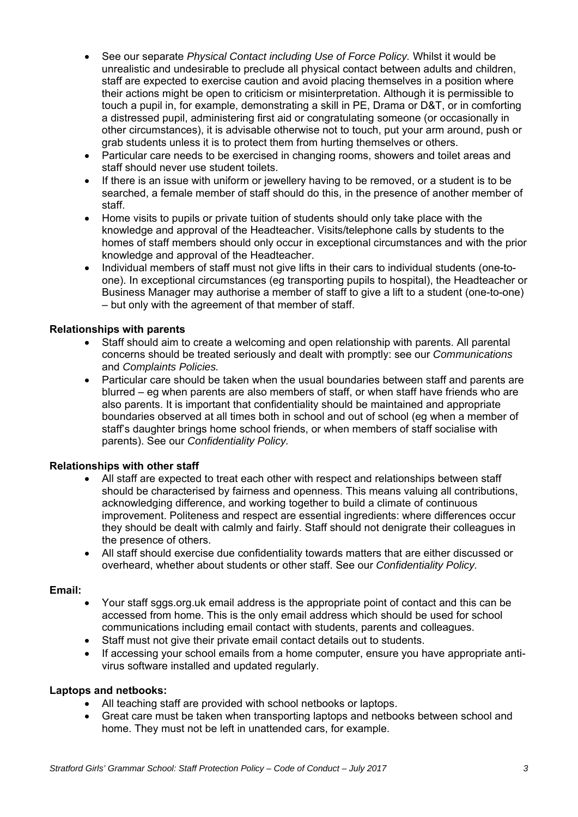- See our separate *Physical Contact including Use of Force Policy.* Whilst it would be unrealistic and undesirable to preclude all physical contact between adults and children, staff are expected to exercise caution and avoid placing themselves in a position where their actions might be open to criticism or misinterpretation. Although it is permissible to touch a pupil in, for example, demonstrating a skill in PE, Drama or D&T, or in comforting a distressed pupil, administering first aid or congratulating someone (or occasionally in other circumstances), it is advisable otherwise not to touch, put your arm around, push or grab students unless it is to protect them from hurting themselves or others.
- Particular care needs to be exercised in changing rooms, showers and toilet areas and staff should never use student toilets.
- If there is an issue with uniform or jewellery having to be removed, or a student is to be searched, a female member of staff should do this, in the presence of another member of staff.
- Home visits to pupils or private tuition of students should only take place with the knowledge and approval of the Headteacher. Visits/telephone calls by students to the homes of staff members should only occur in exceptional circumstances and with the prior knowledge and approval of the Headteacher.
- Individual members of staff must not give lifts in their cars to individual students (one-toone). In exceptional circumstances (eg transporting pupils to hospital), the Headteacher or Business Manager may authorise a member of staff to give a lift to a student (one-to-one) – but only with the agreement of that member of staff.

# **Relationships with parents**

- Staff should aim to create a welcoming and open relationship with parents. All parental concerns should be treated seriously and dealt with promptly: see our *Communications*  and *Complaints Policies.*
- Particular care should be taken when the usual boundaries between staff and parents are blurred – eg when parents are also members of staff, or when staff have friends who are also parents. It is important that confidentiality should be maintained and appropriate boundaries observed at all times both in school and out of school (eg when a member of staff's daughter brings home school friends, or when members of staff socialise with parents). See our *Confidentiality Policy.*

# **Relationships with other staff**

- All staff are expected to treat each other with respect and relationships between staff should be characterised by fairness and openness. This means valuing all contributions, acknowledging difference, and working together to build a climate of continuous improvement. Politeness and respect are essential ingredients: where differences occur they should be dealt with calmly and fairly. Staff should not denigrate their colleagues in the presence of others.
- All staff should exercise due confidentiality towards matters that are either discussed or overheard, whether about students or other staff. See our *Confidentiality Policy.*

# **Email:**

- Your staff sggs.org.uk email address is the appropriate point of contact and this can be accessed from home. This is the only email address which should be used for school communications including email contact with students, parents and colleagues.
- Staff must not give their private email contact details out to students.
- If accessing your school emails from a home computer, ensure you have appropriate antivirus software installed and updated regularly.

# **Laptops and netbooks:**

- All teaching staff are provided with school netbooks or laptops.
- Great care must be taken when transporting laptops and netbooks between school and home. They must not be left in unattended cars, for example.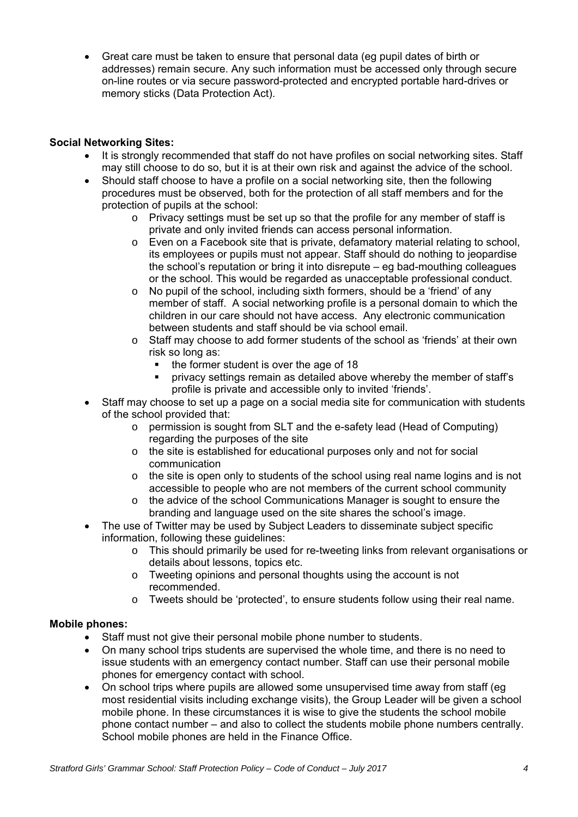Great care must be taken to ensure that personal data (eg pupil dates of birth or addresses) remain secure. Any such information must be accessed only through secure on-line routes or via secure password-protected and encrypted portable hard-drives or memory sticks (Data Protection Act).

# **Social Networking Sites:**

- It is strongly recommended that staff do not have profiles on social networking sites. Staff may still choose to do so, but it is at their own risk and against the advice of the school.
- Should staff choose to have a profile on a social networking site, then the following procedures must be observed, both for the protection of all staff members and for the protection of pupils at the school:
	- $\circ$  Privacy settings must be set up so that the profile for any member of staff is private and only invited friends can access personal information.
	- o Even on a Facebook site that is private, defamatory material relating to school, its employees or pupils must not appear. Staff should do nothing to jeopardise the school's reputation or bring it into disrepute – eg bad-mouthing colleagues or the school. This would be regarded as unacceptable professional conduct.
	- $\circ$  No pupil of the school, including sixth formers, should be a 'friend' of any member of staff. A social networking profile is a personal domain to which the children in our care should not have access. Any electronic communication between students and staff should be via school email.
	- o Staff may choose to add former students of the school as 'friends' at their own risk so long as:
		- $\blacksquare$  the former student is over the age of 18
		- privacy settings remain as detailed above whereby the member of staff's profile is private and accessible only to invited 'friends'.
- Staff may choose to set up a page on a social media site for communication with students of the school provided that:
	- o permission is sought from SLT and the e-safety lead (Head of Computing) regarding the purposes of the site
	- o the site is established for educational purposes only and not for social communication
	- $\circ$  the site is open only to students of the school using real name logins and is not accessible to people who are not members of the current school community
	- o the advice of the school Communications Manager is sought to ensure the branding and language used on the site shares the school's image.
- The use of Twitter may be used by Subject Leaders to disseminate subject specific information, following these guidelines:
	- o This should primarily be used for re-tweeting links from relevant organisations or details about lessons, topics etc.
	- o Tweeting opinions and personal thoughts using the account is not recommended.
	- o Tweets should be 'protected', to ensure students follow using their real name.

# **Mobile phones:**

- Staff must not give their personal mobile phone number to students.
- On many school trips students are supervised the whole time, and there is no need to issue students with an emergency contact number. Staff can use their personal mobile phones for emergency contact with school.
- On school trips where pupils are allowed some unsupervised time away from staff (eg most residential visits including exchange visits), the Group Leader will be given a school mobile phone. In these circumstances it is wise to give the students the school mobile phone contact number – and also to collect the students mobile phone numbers centrally. School mobile phones are held in the Finance Office.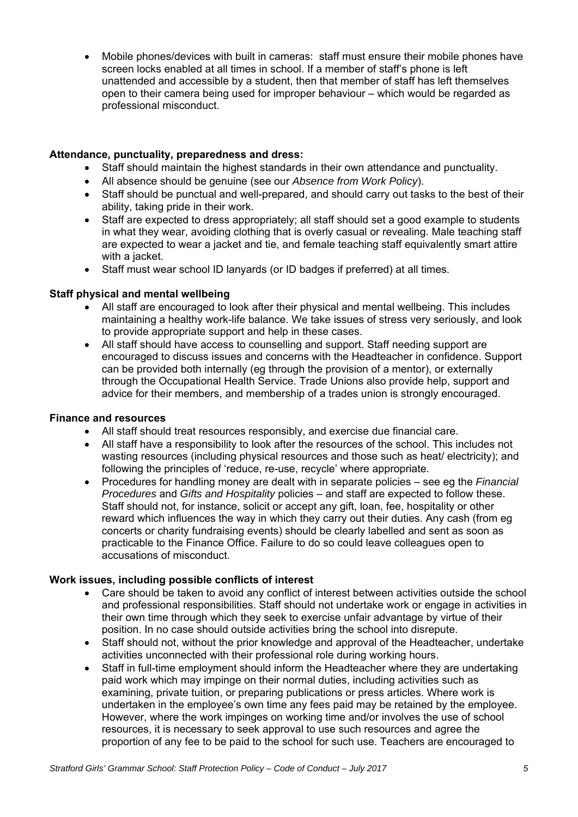Mobile phones/devices with built in cameras: staff must ensure their mobile phones have screen locks enabled at all times in school. If a member of staff's phone is left unattended and accessible by a student, then that member of staff has left themselves open to their camera being used for improper behaviour – which would be regarded as professional misconduct.

#### **Attendance, punctuality, preparedness and dress:**

- Staff should maintain the highest standards in their own attendance and punctuality.
- All absence should be genuine (see our *Absence from Work Policy*).
- Staff should be punctual and well-prepared, and should carry out tasks to the best of their ability, taking pride in their work.
- Staff are expected to dress appropriately; all staff should set a good example to students in what they wear, avoiding clothing that is overly casual or revealing. Male teaching staff are expected to wear a jacket and tie, and female teaching staff equivalently smart attire with a jacket.
- Staff must wear school ID lanyards (or ID badges if preferred) at all times.

#### **Staff physical and mental wellbeing**

- All staff are encouraged to look after their physical and mental wellbeing. This includes maintaining a healthy work-life balance. We take issues of stress very seriously, and look to provide appropriate support and help in these cases.
- All staff should have access to counselling and support. Staff needing support are encouraged to discuss issues and concerns with the Headteacher in confidence. Support can be provided both internally (eg through the provision of a mentor), or externally through the Occupational Health Service. Trade Unions also provide help, support and advice for their members, and membership of a trades union is strongly encouraged.

#### **Finance and resources**

- All staff should treat resources responsibly, and exercise due financial care.
- All staff have a responsibility to look after the resources of the school. This includes not wasting resources (including physical resources and those such as heat/ electricity); and following the principles of 'reduce, re-use, recycle' where appropriate.
- Procedures for handling money are dealt with in separate policies see eg the *Financial Procedures* and *Gifts and Hospitality* policies – and staff are expected to follow these. Staff should not, for instance, solicit or accept any gift, loan, fee, hospitality or other reward which influences the way in which they carry out their duties. Any cash (from eg concerts or charity fundraising events) should be clearly labelled and sent as soon as practicable to the Finance Office. Failure to do so could leave colleagues open to accusations of misconduct.

# **Work issues, including possible conflicts of interest**

- Care should be taken to avoid any conflict of interest between activities outside the school and professional responsibilities. Staff should not undertake work or engage in activities in their own time through which they seek to exercise unfair advantage by virtue of their position. In no case should outside activities bring the school into disrepute.
- Staff should not, without the prior knowledge and approval of the Headteacher, undertake activities unconnected with their professional role during working hours.
- Staff in full-time employment should inform the Headteacher where they are undertaking paid work which may impinge on their normal duties, including activities such as examining, private tuition, or preparing publications or press articles. Where work is undertaken in the employee's own time any fees paid may be retained by the employee. However, where the work impinges on working time and/or involves the use of school resources, it is necessary to seek approval to use such resources and agree the proportion of any fee to be paid to the school for such use. Teachers are encouraged to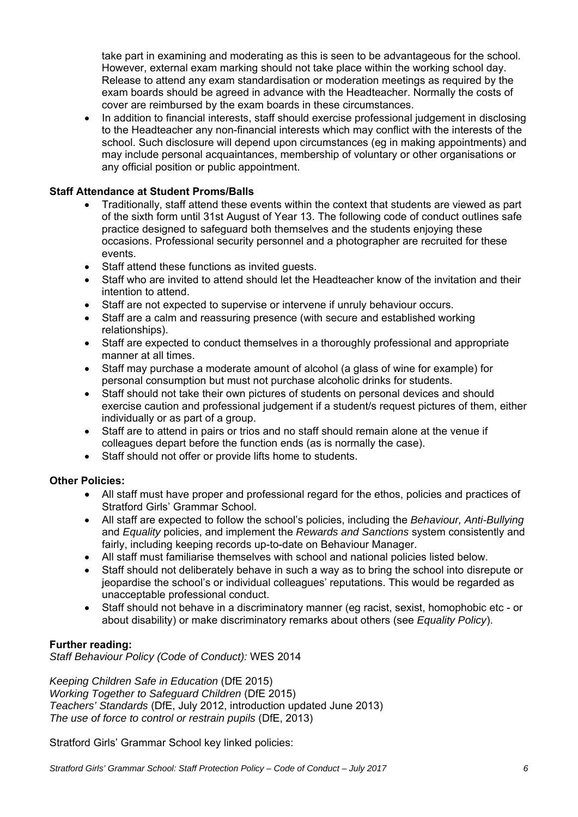take part in examining and moderating as this is seen to be advantageous for the school. However, external exam marking should not take place within the working school day. Release to attend any exam standardisation or moderation meetings as required by the exam boards should be agreed in advance with the Headteacher. Normally the costs of cover are reimbursed by the exam boards in these circumstances.

 In addition to financial interests, staff should exercise professional judgement in disclosing to the Headteacher any non-financial interests which may conflict with the interests of the school. Such disclosure will depend upon circumstances (eg in making appointments) and may include personal acquaintances, membership of voluntary or other organisations or any official position or public appointment.

# **Staff Attendance at Student Proms/Balls**

- Traditionally, staff attend these events within the context that students are viewed as part of the sixth form until 31st August of Year 13. The following code of conduct outlines safe practice designed to safeguard both themselves and the students enjoying these occasions. Professional security personnel and a photographer are recruited for these events.
- Staff attend these functions as invited quests.
- Staff who are invited to attend should let the Headteacher know of the invitation and their intention to attend.
- Staff are not expected to supervise or intervene if unruly behaviour occurs.
- Staff are a calm and reassuring presence (with secure and established working relationships).
- Staff are expected to conduct themselves in a thoroughly professional and appropriate manner at all times.
- Staff may purchase a moderate amount of alcohol (a glass of wine for example) for personal consumption but must not purchase alcoholic drinks for students.
- Staff should not take their own pictures of students on personal devices and should exercise caution and professional judgement if a student/s request pictures of them, either individually or as part of a group.
- Staff are to attend in pairs or trios and no staff should remain alone at the venue if colleagues depart before the function ends (as is normally the case).
- Staff should not offer or provide lifts home to students.

# **Other Policies:**

- All staff must have proper and professional regard for the ethos, policies and practices of Stratford Girls' Grammar School.
- All staff are expected to follow the school's policies, including the *Behaviour, Anti-Bullying*  and *Equality* policies, and implement the *Rewards and Sanctions* system consistently and fairly, including keeping records up-to-date on Behaviour Manager.
- All staff must familiarise themselves with school and national policies listed below.
- Staff should not deliberately behave in such a way as to bring the school into disrepute or jeopardise the school's or individual colleagues' reputations. This would be regarded as unacceptable professional conduct.
- Staff should not behave in a discriminatory manner (eg racist, sexist, homophobic etc or about disability) or make discriminatory remarks about others (see *Equality Policy*).

# **Further reading:**

*Staff Behaviour Policy (Code of Conduct):* WES 2014

*Keeping Children Safe in Education* (DfE 2015) *Working Together to Safeguard Children* (DfE 2015) *Teachers' Standards* (DfE, July 2012, introduction updated June 2013) *The use of force to control or restrain pupils* (DfE, 2013)

Stratford Girls' Grammar School key linked policies: